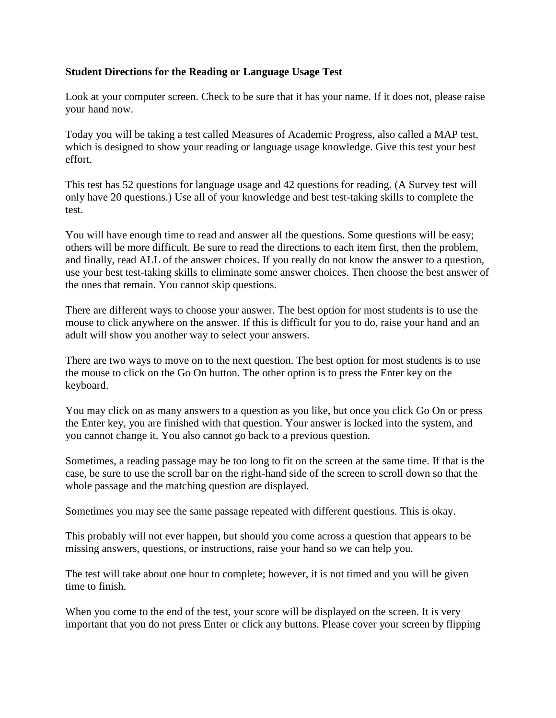## **Student Directions for the Reading or Language Usage Test**

Look at your computer screen. Check to be sure that it has your name. If it does not, please raise your hand now.

Today you will be taking a test called Measures of Academic Progress, also called a MAP test, which is designed to show your reading or language usage knowledge. Give this test your best effort.

This test has 52 questions for language usage and 42 questions for reading. (A Survey test will only have 20 questions.) Use all of your knowledge and best test-taking skills to complete the test.

You will have enough time to read and answer all the questions. Some questions will be easy; others will be more difficult. Be sure to read the directions to each item first, then the problem, and finally, read ALL of the answer choices. If you really do not know the answer to a question, use your best test-taking skills to eliminate some answer choices. Then choose the best answer of the ones that remain. You cannot skip questions.

There are different ways to choose your answer. The best option for most students is to use the mouse to click anywhere on the answer. If this is difficult for you to do, raise your hand and an adult will show you another way to select your answers.

There are two ways to move on to the next question. The best option for most students is to use the mouse to click on the Go On button. The other option is to press the Enter key on the keyboard.

You may click on as many answers to a question as you like, but once you click Go On or press the Enter key, you are finished with that question. Your answer is locked into the system, and you cannot change it. You also cannot go back to a previous question.

Sometimes, a reading passage may be too long to fit on the screen at the same time. If that is the case, be sure to use the scroll bar on the right-hand side of the screen to scroll down so that the whole passage and the matching question are displayed.

Sometimes you may see the same passage repeated with different questions. This is okay.

This probably will not ever happen, but should you come across a question that appears to be missing answers, questions, or instructions, raise your hand so we can help you.

The test will take about one hour to complete; however, it is not timed and you will be given time to finish.

When you come to the end of the test, your score will be displayed on the screen. It is very important that you do not press Enter or click any buttons. Please cover your screen by flipping